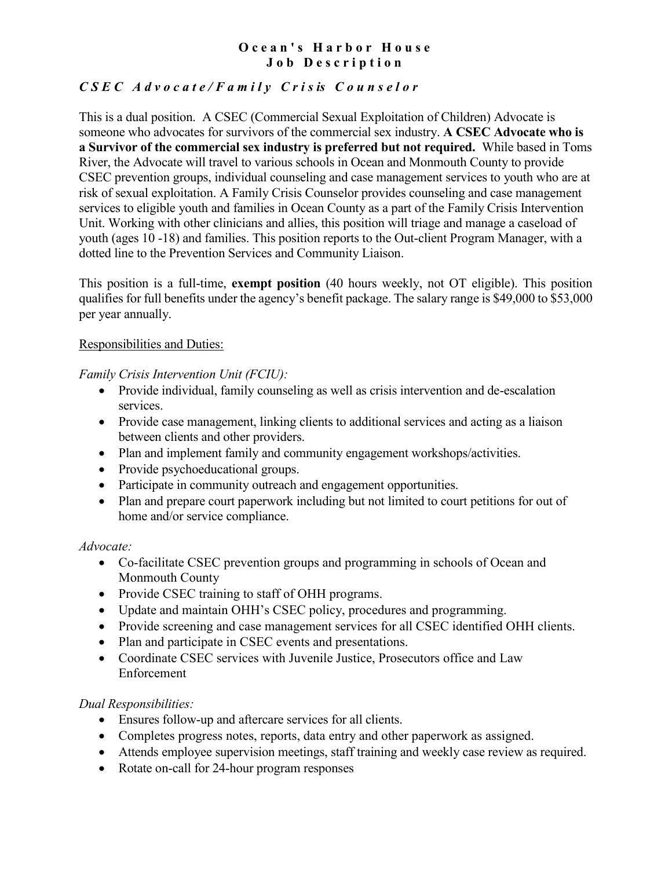# **Ocean's Harbor House Job Description**

# *CSEC Advocate /Family Cris is Counselor*

This is a dual position. A CSEC (Commercial Sexual Exploitation of Children) Advocate is someone who advocates for survivors of the commercial sex industry. **A CSEC Advocate who is a Survivor of the commercial sex industry is preferred but not required.** While based in Toms River, the Advocate will travel to various schools in Ocean and Monmouth County to provide CSEC prevention groups, individual counseling and case management services to youth who are at risk of sexual exploitation. A Family Crisis Counselor provides counseling and case management services to eligible youth and families in Ocean County as a part of the Family Crisis Intervention Unit. Working with other clinicians and allies, this position will triage and manage a caseload of youth (ages 10 -18) and families. This position reports to the Out-client Program Manager, with a dotted line to the Prevention Services and Community Liaison.

This position is a full-time, **exempt position** (40 hours weekly, not OT eligible). This position qualifies for full benefits under the agency's benefit package. The salary range is \$49,000 to \$53,000 per year annually.

## Responsibilities and Duties:

*Family Crisis Intervention Unit (FCIU):*

- Provide individual, family counseling as well as crisis intervention and de-escalation services.
- Provide case management, linking clients to additional services and acting as a liaison between clients and other providers.
- Plan and implement family and community engagement workshops/activities.
- Provide psychoeducational groups.
- Participate in community outreach and engagement opportunities.
- Plan and prepare court paperwork including but not limited to court petitions for out of home and/or service compliance.

# *Advocate:*

- Co-facilitate CSEC prevention groups and programming in schools of Ocean and Monmouth County
- Provide CSEC training to staff of OHH programs.
- Update and maintain OHH's CSEC policy, procedures and programming.
- Provide screening and case management services for all CSEC identified OHH clients.
- Plan and participate in CSEC events and presentations.
- Coordinate CSEC services with Juvenile Justice, Prosecutors office and Law Enforcement

# *Dual Responsibilities:*

- Ensures follow-up and aftercare services for all clients.
- Completes progress notes, reports, data entry and other paperwork as assigned.
- Attends employee supervision meetings, staff training and weekly case review as required.
- Rotate on-call for 24-hour program responses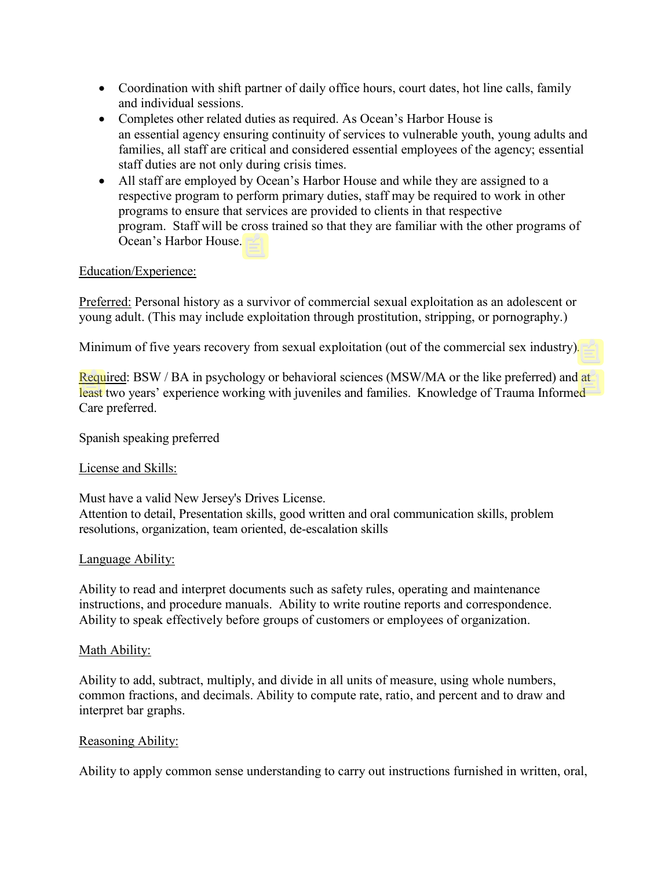- Coordination with shift partner of daily office hours, court dates, hot line calls, family and individual sessions.
- Completes other related duties as required. As Ocean's Harbor House is an essential agency ensuring continuity of services to vulnerable youth, young adults and families, all staff are critical and considered essential employees of the agency; essential staff duties are not only during crisis times.
- All staff are employed by Ocean's Harbor House and while they are assigned to a respective program to perform primary duties, staff may be required to work in other programs to ensure that services are provided to clients in that respective program. Staff will be cross trained so that they are familiar with the other programs of Ocean's Harbor House.

## Education/Experience:

Preferred: Personal history as a survivor of commercial sexual exploitation as an adolescent or young adult. (This may include exploitation through prostitution, stripping, or pornography.)

Minimum of five years recovery from sexual exploitation (out of the commercial sex industry)*.*

Required: BSW / BA in psychology or behavioral sciences (MSW/MA or the like preferred) and at least two years' experience working with juveniles and families. Knowledge of Trauma Informed Care preferred.

Spanish speaking preferred

### License and Skills:

Must have a valid New Jersey's Drives License.

Attention to detail, Presentation skills, good written and oral communication skills, problem resolutions, organization, team oriented, de-escalation skills

### Language Ability:

Ability to read and interpret documents such as safety rules, operating and maintenance instructions, and procedure manuals. Ability to write routine reports and correspondence. Ability to speak effectively before groups of customers or employees of organization.

#### Math Ability:

Ability to add, subtract, multiply, and divide in all units of measure, using whole numbers, common fractions, and decimals. Ability to compute rate, ratio, and percent and to draw and interpret bar graphs.

### Reasoning Ability:

Ability to apply common sense understanding to carry out instructions furnished in written, oral,